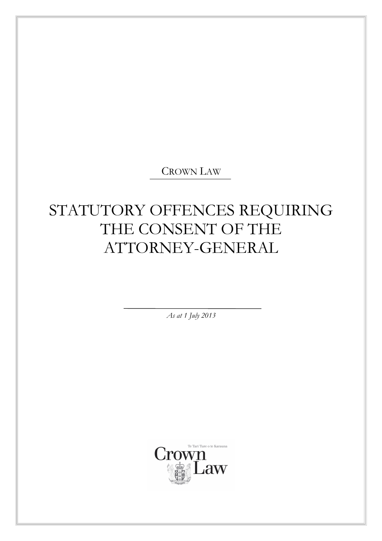## CROWN LAW

# STATUTORY OFFENCES REQUIRING THE CONSENT OF THE ATTORNEY-GENERAL

*As at 1 July 2013* 

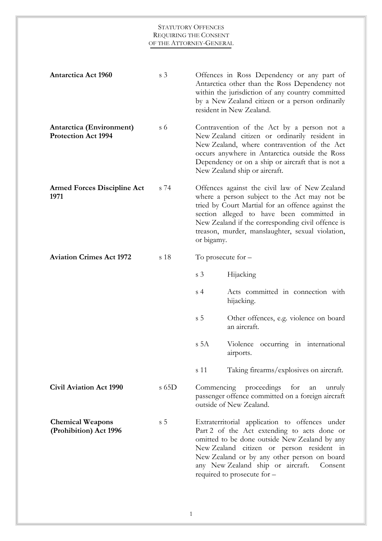| <b>Antarctica Act 1960</b>                             | s <sub>3</sub> |                 | Offences in Ross Dependency or any part of<br>Antarctica other than the Ross Dependency not<br>within the jurisdiction of any country committed<br>by a New Zealand citizen or a person ordinarily<br>resident in New Zealand.                                                                                            |
|--------------------------------------------------------|----------------|-----------------|---------------------------------------------------------------------------------------------------------------------------------------------------------------------------------------------------------------------------------------------------------------------------------------------------------------------------|
| Antarctica (Environment)<br><b>Protection Act 1994</b> | $\sigma$ 6     |                 | Contravention of the Act by a person not a<br>New Zealand citizen or ordinarily resident in<br>New Zealand, where contravention of the Act<br>occurs anywhere in Antarctica outside the Ross<br>Dependency or on a ship or aircraft that is not a<br>New Zealand ship or aircraft.                                        |
| <b>Armed Forces Discipline Act</b><br>1971             | s 74           | or bigamy.      | Offences against the civil law of New Zealand<br>where a person subject to the Act may not be<br>tried by Court Martial for an offence against the<br>section alleged to have been committed in<br>New Zealand if the corresponding civil offence is<br>treason, murder, manslaughter, sexual violation,                  |
| <b>Aviation Crimes Act 1972</b>                        | s 18           |                 | To prosecute for $-$                                                                                                                                                                                                                                                                                                      |
|                                                        |                | s <sub>3</sub>  | Hijacking                                                                                                                                                                                                                                                                                                                 |
|                                                        |                | s <sub>4</sub>  | Acts committed in connection with<br>hijacking.                                                                                                                                                                                                                                                                           |
|                                                        |                | s <sub>5</sub>  | Other offences, e.g. violence on board<br>an aircraft.                                                                                                                                                                                                                                                                    |
|                                                        |                | s <sub>5A</sub> | Violence occurring in international<br>airports.                                                                                                                                                                                                                                                                          |
|                                                        |                | s 11            | Taking firearms/explosives on aircraft.                                                                                                                                                                                                                                                                                   |
| <b>Civil Aviation Act 1990</b>                         | $s$ 65D        | Commencing      | proceedings<br>for<br>unruly<br>an<br>passenger offence committed on a foreign aircraft<br>outside of New Zealand.                                                                                                                                                                                                        |
| <b>Chemical Weapons</b><br>(Prohibition) Act 1996      | s <sub>5</sub> |                 | Extraterritorial application to offences under<br>Part 2 of the Act extending to acts done or<br>omitted to be done outside New Zealand by any<br>New Zealand citizen or person resident in<br>New Zealand or by any other person on board<br>any New Zealand ship or aircraft.<br>Consent<br>required to prosecute for - |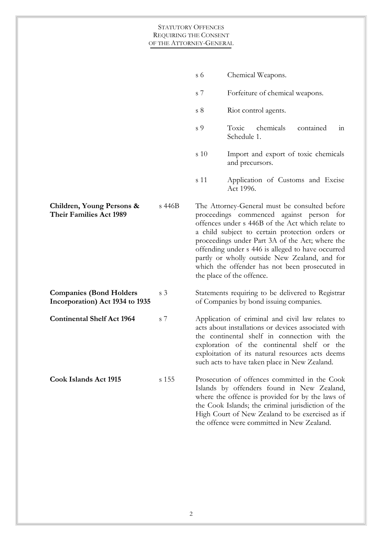|                                                                   |                | s 6            | Chemical Weapons.                                                                                                                                                                                                                                                                                                                                                                                                                       |
|-------------------------------------------------------------------|----------------|----------------|-----------------------------------------------------------------------------------------------------------------------------------------------------------------------------------------------------------------------------------------------------------------------------------------------------------------------------------------------------------------------------------------------------------------------------------------|
|                                                                   |                | s 7            | Forfeiture of chemical weapons.                                                                                                                                                                                                                                                                                                                                                                                                         |
|                                                                   |                | s <sub>8</sub> | Riot control agents.                                                                                                                                                                                                                                                                                                                                                                                                                    |
|                                                                   |                | s 9            | chemicals<br>Toxic<br>contained<br>in<br>Schedule 1.                                                                                                                                                                                                                                                                                                                                                                                    |
|                                                                   |                | s 10           | Import and export of toxic chemicals<br>and precursors.                                                                                                                                                                                                                                                                                                                                                                                 |
|                                                                   |                | s 11           | Application of Customs and Excise<br>Act 1996.                                                                                                                                                                                                                                                                                                                                                                                          |
| Children, Young Persons &<br><b>Their Families Act 1989</b>       | s 446B         |                | The Attorney-General must be consulted before<br>proceedings commenced against person for<br>offences under s 446B of the Act which relate to<br>a child subject to certain protection orders or<br>proceedings under Part 3A of the Act; where the<br>offending under s 446 is alleged to have occurred<br>partly or wholly outside New Zealand, and for<br>which the offender has not been prosecuted in<br>the place of the offence. |
| <b>Companies (Bond Holders</b><br>Incorporation) Act 1934 to 1935 | s <sub>3</sub> |                | Statements requiring to be delivered to Registrar<br>of Companies by bond issuing companies.                                                                                                                                                                                                                                                                                                                                            |
| <b>Continental Shelf Act 1964</b>                                 | s 7            |                | Application of criminal and civil law relates to<br>acts about installations or devices associated with<br>the continental shelf in connection with the<br>exploration of the continental shelf or the<br>exploitation of its natural resources acts deems<br>such acts to have taken place in New Zealand.                                                                                                                             |
| <b>Cook Islands Act 1915</b>                                      | s 155          |                | Prosecution of offences committed in the Cook<br>Islands by offenders found in New Zealand,<br>where the offence is provided for by the laws of<br>the Cook Islands; the criminal jurisdiction of the<br>High Court of New Zealand to be exercised as if<br>the offence were committed in New Zealand.                                                                                                                                  |
|                                                                   |                |                |                                                                                                                                                                                                                                                                                                                                                                                                                                         |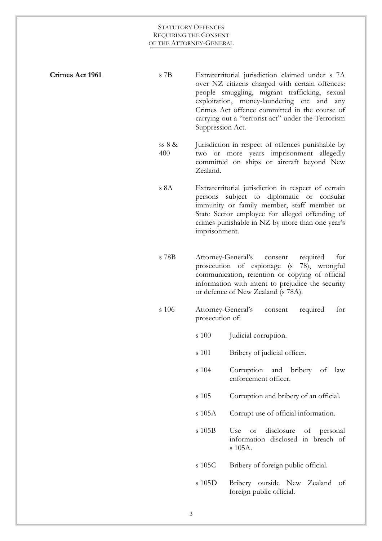| Crimes Act 1961 | $\rm s$ 7B      | Suppression Act.                      | Extraterritorial jurisdiction claimed under s 7A<br>over NZ citizens charged with certain offences:<br>people smuggling, migrant trafficking, sexual<br>exploitation, money-laundering etc and any<br>Crimes Act offence committed in the course of<br>carrying out a "terrorist act" under the Terrorism |
|-----------------|-----------------|---------------------------------------|-----------------------------------------------------------------------------------------------------------------------------------------------------------------------------------------------------------------------------------------------------------------------------------------------------------|
|                 | ss $8 &$<br>400 | Zealand.                              | Jurisdiction in respect of offences punishable by<br>two or more years imprisonment allegedly<br>committed on ships or aircraft beyond New                                                                                                                                                                |
|                 | s 8A            | persons<br>imprisonment.              | Extraterritorial jurisdiction in respect of certain<br>diplomatic or consular<br>subject to<br>immunity or family member, staff member or<br>State Sector employee for alleged offending of<br>crimes punishable in NZ by more than one year's                                                            |
|                 | s 78B           |                                       | Attorney-General's<br>required<br>for<br>consent<br>prosecution of espionage (s)<br>78), wrongful<br>communication, retention or copying of official<br>information with intent to prejudice the security<br>or defence of New Zealand (s 78A).                                                           |
|                 | s 106           | Attorney-General's<br>prosecution of: | required<br>for<br>consent                                                                                                                                                                                                                                                                                |
|                 |                 | s 100                                 | Judicial corruption.                                                                                                                                                                                                                                                                                      |
|                 |                 | s 101                                 | Bribery of judicial officer.                                                                                                                                                                                                                                                                              |
|                 |                 | s 104                                 | Corruption and bribery of law<br>enforcement officer.                                                                                                                                                                                                                                                     |
|                 |                 | s 105                                 | Corruption and bribery of an official.                                                                                                                                                                                                                                                                    |
|                 |                 | s 105A                                | Corrupt use of official information.                                                                                                                                                                                                                                                                      |
|                 |                 | s 105B                                | disclosure<br>of personal<br>Use<br><b>or</b><br>information disclosed in breach of<br>s 105A.                                                                                                                                                                                                            |
|                 |                 | s 105C                                | Bribery of foreign public official.                                                                                                                                                                                                                                                                       |
|                 |                 | s 105D                                | Bribery outside New Zealand of<br>foreign public official.                                                                                                                                                                                                                                                |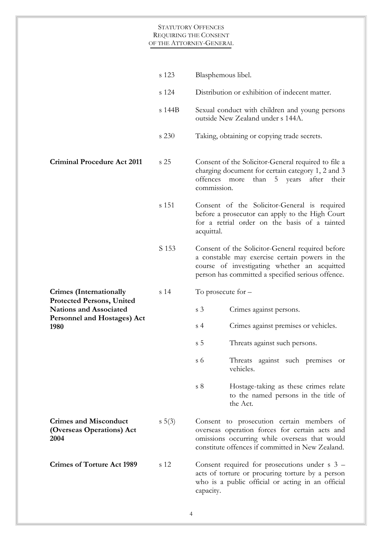|                                                                                                                 | s 123           | Blasphemous libel.                                                                                                                                                                                      |
|-----------------------------------------------------------------------------------------------------------------|-----------------|---------------------------------------------------------------------------------------------------------------------------------------------------------------------------------------------------------|
|                                                                                                                 | s 124           | Distribution or exhibition of indecent matter.                                                                                                                                                          |
|                                                                                                                 | s 144B          | Sexual conduct with children and young persons<br>outside New Zealand under s 144A.                                                                                                                     |
|                                                                                                                 | s 230           | Taking, obtaining or copying trade secrets.                                                                                                                                                             |
| <b>Criminal Procedure Act 2011</b>                                                                              | s 25            | Consent of the Solicitor-General required to file a<br>charging document for certain category 1, 2 and 3<br>offences<br>than<br>5<br>after<br>years<br>their<br>more<br>commission.                     |
|                                                                                                                 | s 151           | Consent of the Solicitor-General is required<br>before a prosecutor can apply to the High Court<br>for a retrial order on the basis of a tainted<br>acquittal.                                          |
|                                                                                                                 | S 153           | Consent of the Solicitor-General required before<br>a constable may exercise certain powers in the<br>course of investigating whether an acquitted<br>person has committed a specified serious offence. |
| <b>Crimes</b> (Internationally                                                                                  | s <sub>14</sub> | To prosecute for $-$                                                                                                                                                                                    |
| <b>Protected Persons, United</b><br><b>Nations and Associated</b><br><b>Personnel and Hostages) Act</b><br>1980 |                 | s <sub>3</sub><br>Crimes against persons.                                                                                                                                                               |
|                                                                                                                 |                 | Crimes against premises or vehicles.<br>s <sub>4</sub>                                                                                                                                                  |
|                                                                                                                 |                 | s <sub>5</sub><br>Threats against such persons.                                                                                                                                                         |
|                                                                                                                 |                 | Threats against such premises or<br>s <sub>6</sub><br>vehicles.                                                                                                                                         |
|                                                                                                                 |                 | s <sub>8</sub><br>Hostage-taking as these crimes relate<br>to the named persons in the title of<br>the Act.                                                                                             |
| <b>Crimes and Misconduct</b><br>(Overseas Operations) Act<br>2004                                               | $s \ 5(3)$      | Consent to prosecution certain members of<br>overseas operation forces for certain acts and<br>omissions occurring while overseas that would<br>constitute offences if committed in New Zealand.        |
| <b>Crimes of Torture Act 1989</b>                                                                               | s 12            | Consent required for prosecutions under $s$ 3 –<br>acts of torture or procuring torture by a person<br>who is a public official or acting in an official<br>capacity.                                   |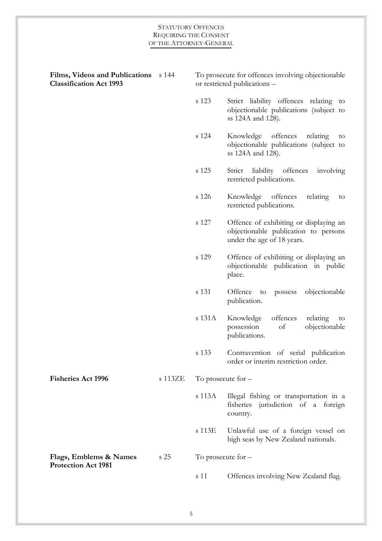| Films, Videos and Publications<br><b>Classification Act 1993</b> | s 144   |        | To prosecute for offences involving objectionable<br>or restricted publications -                            |
|------------------------------------------------------------------|---------|--------|--------------------------------------------------------------------------------------------------------------|
|                                                                  |         | s 123  | Strict liability offences relating to<br>objectionable publications (subject to<br>ss 124A and 128).         |
|                                                                  |         | s 124  | Knowledge<br>offences<br>relating<br>to<br>objectionable publications (subject to<br>ss 124A and 128).       |
|                                                                  |         | s 125  | Strict liability offences<br>involving<br>restricted publications.                                           |
|                                                                  |         | s 126  | Knowledge offences<br>relating<br>to<br>restricted publications.                                             |
|                                                                  |         | s 127  | Offence of exhibiting or displaying an<br>objectionable publication to persons<br>under the age of 18 years. |
|                                                                  |         | s 129  | Offence of exhibiting or displaying an<br>objectionable publication in public<br>place.                      |
|                                                                  |         | s 131  | objectionable<br>Offence to<br>possess<br>publication.                                                       |
|                                                                  |         | s 131A | Knowledge<br>offences<br>relating<br>to<br>of<br>possession<br>objectionable<br>publications.                |
|                                                                  |         | s 133  | Contravention of serial publication<br>order or interim restriction order.                                   |
| <b>Fisheries Act 1996</b>                                        | s 113ZE |        | To prosecute for $-$                                                                                         |
|                                                                  |         | s 113A | Illegal fishing or transportation in a<br>fisheries jurisdiction of a foreign<br>country.                    |
|                                                                  |         | s 113E | Unlawful use of a foreign vessel on<br>high seas by New Zealand nationals.                                   |
| Flags, Emblems & Names                                           | s 25    |        | To prosecute for $-$                                                                                         |
| <b>Protection Act 1981</b>                                       |         | s 11   | Offences involving New Zealand flag.                                                                         |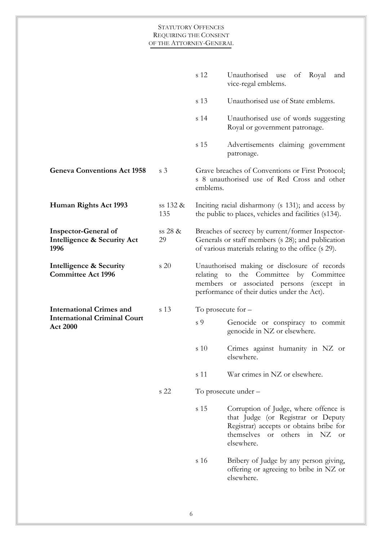|                                                                    |                 | s 12     | Unauthorised use<br>of Royal<br>and<br>vice-regal emblems.                                                                                                                           |
|--------------------------------------------------------------------|-----------------|----------|--------------------------------------------------------------------------------------------------------------------------------------------------------------------------------------|
|                                                                    |                 | s 13     | Unauthorised use of State emblems.                                                                                                                                                   |
|                                                                    |                 | s 14     | Unauthorised use of words suggesting<br>Royal or government patronage.                                                                                                               |
|                                                                    |                 | s 15     | Advertisements claiming government<br>patronage.                                                                                                                                     |
| <b>Geneva Conventions Act 1958</b>                                 | s <sub>3</sub>  | emblems. | Grave breaches of Conventions or First Protocol;<br>s 8 unauthorised use of Red Cross and other                                                                                      |
| Human Rights Act 1993                                              | ss 132 &<br>135 |          | Inciting racial disharmony (s 131); and access by<br>the public to places, vehicles and facilities (s134).                                                                           |
| <b>Inspector-General of</b><br>Intelligence & Security Act<br>1996 | ss 28 &<br>29   |          | Breaches of secrecy by current/former Inspector-<br>Generals or staff members (s 28); and publication<br>of various materials relating to the office (s 29).                         |
| Intelligence & Security<br><b>Committee Act 1996</b>               | s 20            |          | Unauthorised making or disclosure of records<br>relating to the Committee by<br>Committee<br>members or associated persons (except in<br>performance of their duties under the Act). |
| <b>International Crimes and</b>                                    | s 13            |          | To prosecute for $-$                                                                                                                                                                 |
| <b>International Criminal Court</b><br><b>Act 2000</b>             |                 | s 9      | Genocide or conspiracy to commit<br>genocide in NZ or elsewhere.                                                                                                                     |
|                                                                    |                 | s 10     | Crimes against humanity in NZ or<br>elsewhere.                                                                                                                                       |
|                                                                    |                 | s 11     | War crimes in NZ or elsewhere.                                                                                                                                                       |
|                                                                    | s 22            |          | To prosecute under -                                                                                                                                                                 |
|                                                                    |                 | s 15     | Corruption of Judge, where offence is<br>that Judge (or Registrar or Deputy<br>Registrar) accepts or obtains bribe for<br>themselves or others in NZ or<br>elsewhere.                |
|                                                                    |                 | s 16     | Bribery of Judge by any person giving,<br>offering or agreeing to bribe in NZ or<br>elsewhere.                                                                                       |
|                                                                    |                 |          |                                                                                                                                                                                      |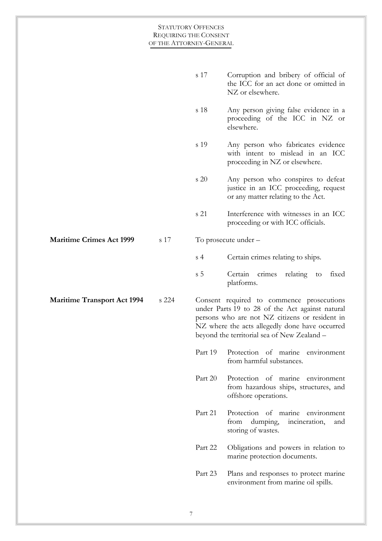| <b>STATUTORY OFFENCES</b>    |
|------------------------------|
| <b>REQUIRING THE CONSENT</b> |
| OF THE ATTORNEY-GENERAL      |

|                                    |       | s 17           | Corruption and bribery of official of<br>the ICC for an act done or omitted in<br>NZ or elsewhere.                                                                                                                                              |
|------------------------------------|-------|----------------|-------------------------------------------------------------------------------------------------------------------------------------------------------------------------------------------------------------------------------------------------|
|                                    |       | s 18           | Any person giving false evidence in a<br>proceeding of the ICC in NZ or<br>elsewhere.                                                                                                                                                           |
|                                    |       | s 19           | Any person who fabricates evidence<br>with intent to mislead in an ICC<br>proceeding in NZ or elsewhere.                                                                                                                                        |
|                                    |       | s 20           | Any person who conspires to defeat<br>justice in an ICC proceeding, request<br>or any matter relating to the Act.                                                                                                                               |
|                                    |       | s 21           | Interference with witnesses in an ICC<br>proceeding or with ICC officials.                                                                                                                                                                      |
| <b>Maritime Crimes Act 1999</b>    | s 17  |                | To prosecute under -                                                                                                                                                                                                                            |
|                                    |       | s <sub>4</sub> | Certain crimes relating to ships.                                                                                                                                                                                                               |
|                                    |       | s <sub>5</sub> | Certain<br>crimes<br>relating to<br>fixed<br>platforms.                                                                                                                                                                                         |
|                                    |       |                |                                                                                                                                                                                                                                                 |
| <b>Maritime Transport Act 1994</b> | s 224 |                | Consent required to commence prosecutions<br>under Parts 19 to 28 of the Act against natural<br>persons who are not NZ citizens or resident in<br>NZ where the acts allegedly done have occurred<br>beyond the territorial sea of New Zealand - |
|                                    |       | Part 19        | Protection of marine environment<br>from harmful substances.                                                                                                                                                                                    |
|                                    |       | Part 20        | Protection of marine environment<br>from hazardous ships, structures, and<br>offshore operations.                                                                                                                                               |
|                                    |       | Part 21        | Protection of marine environment<br>from<br>dumping,<br>incineration,<br>and<br>storing of wastes.                                                                                                                                              |
|                                    |       | Part 22        | Obligations and powers in relation to<br>marine protection documents.                                                                                                                                                                           |
|                                    |       | Part 23        | Plans and responses to protect marine<br>environment from marine oil spills.                                                                                                                                                                    |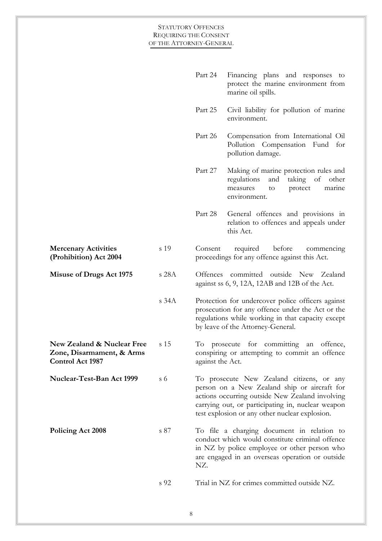|                                                                             |            | Part 24          | Financing plans and responses to<br>protect the marine environment from<br>marine oil spills.                                                                                                                                                       |
|-----------------------------------------------------------------------------|------------|------------------|-----------------------------------------------------------------------------------------------------------------------------------------------------------------------------------------------------------------------------------------------------|
|                                                                             |            | Part 25          | Civil liability for pollution of marine<br>environment.                                                                                                                                                                                             |
|                                                                             |            | Part 26          | Compensation from International Oil<br>Pollution Compensation Fund<br>for<br>pollution damage.                                                                                                                                                      |
|                                                                             |            | Part 27          | Making of marine protection rules and<br>regulations<br>and<br>taking<br>of<br>other<br>protect<br>marine<br>measures<br>to<br>environment.                                                                                                         |
|                                                                             |            | Part 28          | General offences and provisions in<br>relation to offences and appeals under<br>this Act.                                                                                                                                                           |
| <b>Mercenary Activities</b><br>(Prohibition) Act 2004                       | s 19       | Consent          | before<br>required<br>commencing<br>proceedings for any offence against this Act.                                                                                                                                                                   |
| <b>Misuse of Drugs Act 1975</b>                                             | s 28A      |                  | Offences committed outside New Zealand<br>against ss 6, 9, 12A, 12AB and 12B of the Act.                                                                                                                                                            |
|                                                                             | $s$ 34 $A$ |                  | Protection for undercover police officers against<br>prosecution for any offence under the Act or the<br>regulations while working in that capacity except<br>by leave of the Attorney-General.                                                     |
| New Zealand & Nuclear Free<br>Zone, Disarmament, & Arms<br>Control Act 1987 | s 15       | against the Act. | To prosecute for committing an offence,<br>conspiring or attempting to commit an offence                                                                                                                                                            |
| Nuclear-Test-Ban Act 1999                                                   | $\sigma$ 6 |                  | To prosecute New Zealand citizens, or any<br>person on a New Zealand ship or aircraft for<br>actions occurring outside New Zealand involving<br>carrying out, or participating in, nuclear weapon<br>test explosion or any other nuclear explosion. |
| Policing Act 2008                                                           | s 87       | NZ.              | To file a charging document in relation to<br>conduct which would constitute criminal offence<br>in NZ by police employee or other person who<br>are engaged in an overseas operation or outside                                                    |
|                                                                             | s 92       |                  | Trial in NZ for crimes committed outside NZ.                                                                                                                                                                                                        |